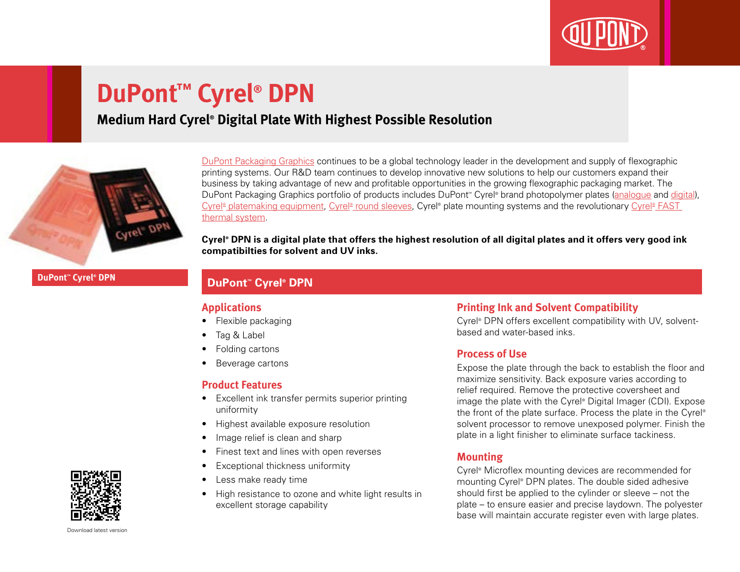

# **DuPont™ Cyrel® DPN**

### **Medium Hard Cyrel® Digital Plate With Highest Possible Resolution**



[DuPont Packaging Graphics](http://www2.dupont.com/Packaging_Graphics/en_GB/index.html) continues to be a global technology leader in the development and supply of flexographic printing systems. Our R&D team continues to develop innovative new solutions to help our customers expand their business by taking advantage of new and profitable opportunities in the growing flexographic packaging market. The DuPont Packaging Graphics portfolio of products includes DuPont<sup>™</sup> Cyrel® brand photopolymer plates ([analogue](http://www2.dupont.com/Packaging_Graphics/en_GB/products/solvent_platemaking/index.html) and [digital\)](http://www2.dupont.com/Packaging_Graphics/en_GB/products/digital_wkflow/digital_workflow.html), Cyrel® [platemaking equipment,](http://www2.dupont.com/Packaging_Graphics/en_GB/products/mounting_systems/index.html) Cyrel® [round sleeves,](http://www2.dupont.com/Packaging_Graphics/en_GB/products/cyrel_round/index_cyrelround2.html) Cyrel® plate mounting systems and the revolutionary Cyrel® FAST [thermal system.](http://www2.dupont.com/Packaging_Graphics/en_GB/products/cyrel_fast/cyrelfast_index.html)

**Cyrel® DPN is a digital plate that offers the highest resolution of all digital plates and it offers very good ink compatibilties for solvent and UV inks.**

**DuPont™ Cyrel® DPN**

### **DuPont<sup>™</sup> Cyrel® DPN**

### **Applications**

- Flexible packaging
- Tag & Label
- Folding cartons
- Beverage cartons

### **Product Features**

- Excellent ink transfer permits superior printing uniformity
- Highest available exposure resolution
- Image relief is clean and sharp
- Finest text and lines with open reverses
- Exceptional thickness uniformity
- Less make ready time
- High resistance to ozone and white light results in excellent storage capability

### **Printing Ink and Solvent Compatibility**

Cyrel® DPN offers excellent compatibility with UV, solventbased and water-based inks.

### **Process of Use**

Expose the plate through the back to establish the floor and maximize sensitivity. Back exposure varies according to relief required. Remove the protective coversheet and image the plate with the Cyrel® Digital Imager (CDI). Expose the front of the plate surface. Process the plate in the Cyrel® solvent processor to remove unexposed polymer. Finish the plate in a light finisher to eliminate surface tackiness.

### **Mounting**

Cyrel® Microflex mounting devices are recommended for mounting Cyrel® DPN plates. The double sided adhesive should first be applied to the cylinder or sleeve – not the plate – to ensure easier and precise laydown. The polyester base will maintain accurate register even with large plates.